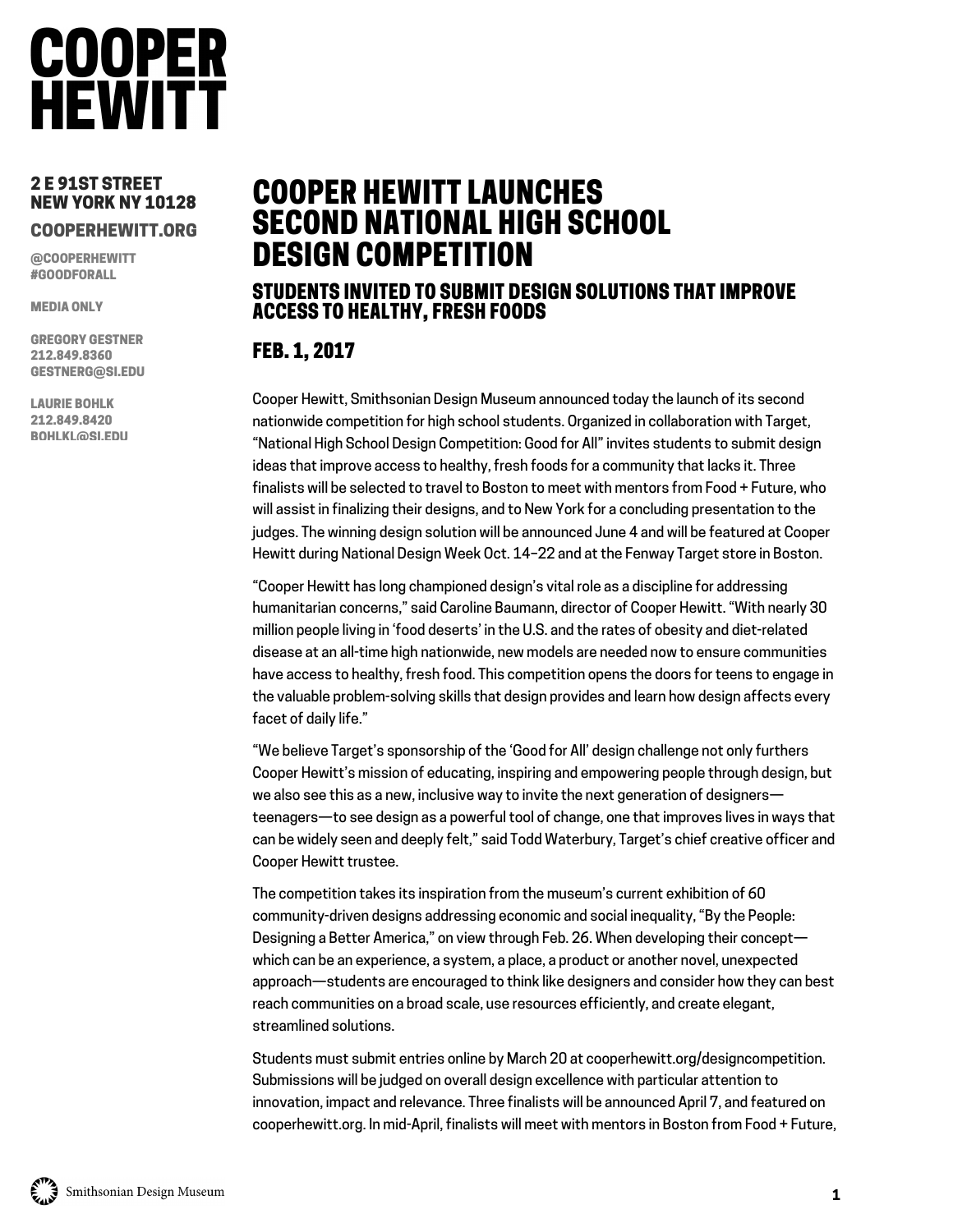### **COOPER HEWITT**

#### 2 E 91ST STREET NEW YORK NY 10128 COOPERHEWITT.ORG

@COOPERHEWITT #GOODFORALL

MEDIA ONLY

GREGORY GESTNER 212.849.8360 GESTNERG@SI.EDU

LAURIE BOHLK 212.849.8420 BOHLKL@SI.EDU

### COOPER HEWITT LAUNCHES SECOND NATIONAL HIGH SCHOOL DESIGN COMPETITION

#### STUDENTS INVITED TO SUBMIT DESIGN SOLUTIONS THAT IMPROVE ACCESS TO HEALTHY, FRESH FOODS

#### FEB. 1, 2017

Cooper Hewitt, Smithsonian Design Museum announced today the launch of its second nationwide competition for high school students. Organized in collaboration with Target, "National High School Design Competition: Good for All" invites students to submit design ideas that improve access to healthy, fresh foods for a community that lacks it. Three finalists will be selected to travel to Boston to meet with mentors from Food + Future, who will assist in finalizing their designs, and to New York for a concluding presentation to the judges. The winning design solution will be announced June 4 and will be featured at Cooper Hewitt during National Design Week Oct. 14–22 and at the Fenway Target store in Boston.

"Cooper Hewitt has long championed design's vital role as a discipline for addressing humanitarian concerns," said Caroline Baumann, director of Cooper Hewitt. "With nearly 30 million people living in 'food deserts' in the U.S. and the rates of obesity and diet-related disease at an all-time high nationwide, new models are needed now to ensure communities have access to healthy, fresh food. This competition opens the doors for teens to engage in the valuable problem-solving skills that design provides and learn how design affects every facet of daily life."

"We believe Target's sponsorship of the 'Good for All' design challenge not only furthers Cooper Hewitt's mission of educating, inspiring and empowering people through design, but we also see this as a new, inclusive way to invite the next generation of designers teenagers—to see design as a powerful tool of change, one that improves lives in ways that can be widely seen and deeply felt," said Todd Waterbury, Target's chief creative officer and Cooper Hewitt trustee.

The competition takes its inspiration from the museum's current exhibition of 60 community-driven designs addressing economic and social inequality, "By the People: Designing a Better America," on view through Feb. 26. When developing their concept which can be an experience, a system, a place, a product or another novel, unexpected approach—students are encouraged to think like designers and consider how they can best reach communities on a broad scale, use resources efficiently, and create elegant, streamlined solutions.

Students must submit entries online by March 20 at cooperhewitt.org/designcompetition. Submissions will be judged on overall design excellence with particular attention to innovation, impact and relevance. Three finalists will be announced April 7, and featured on cooperhewitt.org. In mid-April, finalists will meet with mentors in Boston from Food + Future,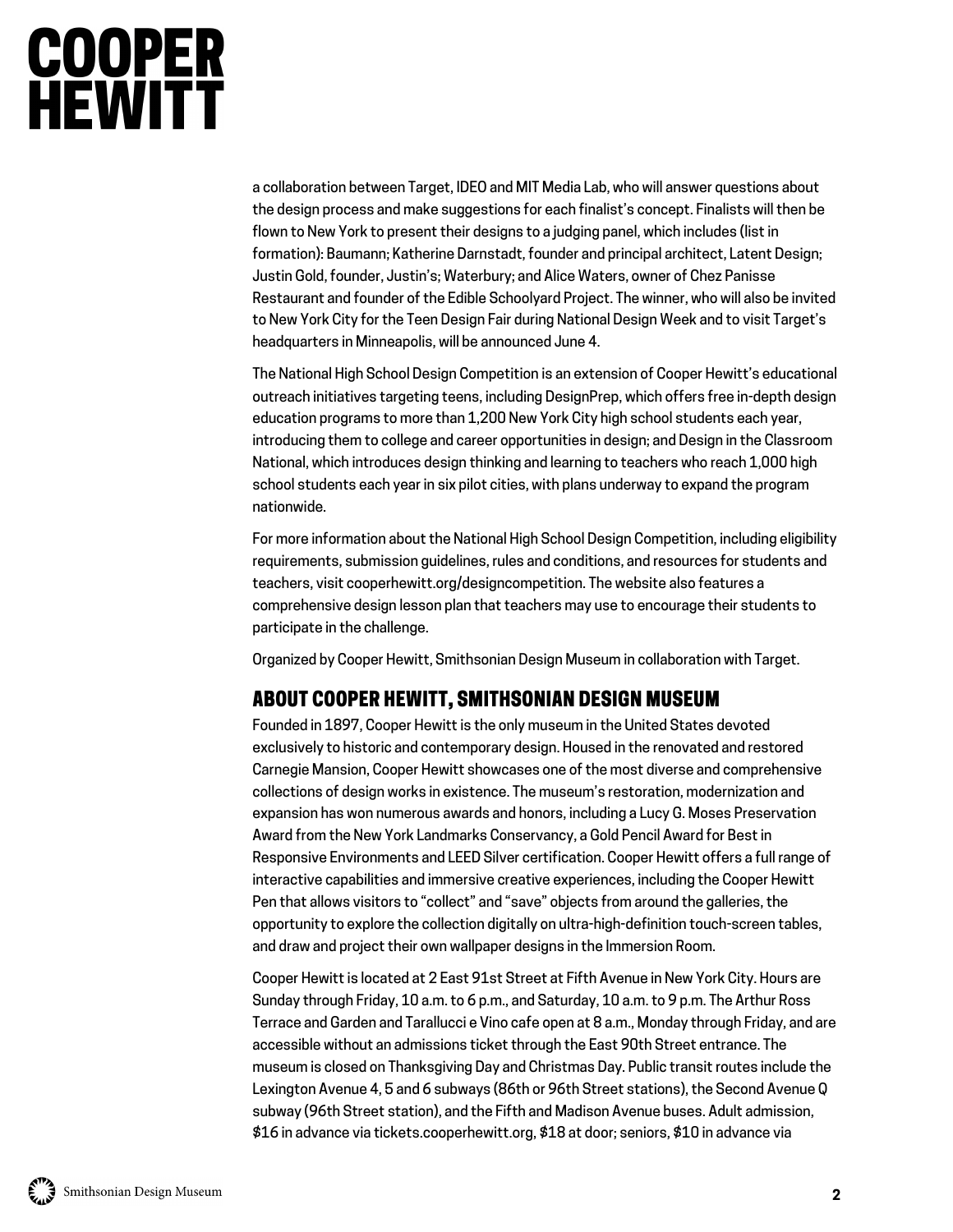# **COOPER<br>HEWITT**

a collaboration between Target, IDEO and MIT Media Lab, who will answer questions about the design process and make suggestions for each finalist's concept. Finalists will then be flown to New York to present their designs to a judging panel, which includes (list in formation): Baumann; Katherine Darnstadt, founder and principal architect, Latent Design; Justin Gold, founder, Justin's; Waterbury; and Alice Waters, owner of Chez Panisse Restaurant and founder of the Edible Schoolyard Project. The winner, who will also be invited to New York City for the Teen Design Fair during National Design Week and to visit Target's headquarters in Minneapolis, will be announced June 4.

The National High School Design Competition is an extension of Cooper Hewitt's educational outreach initiatives targeting teens, including DesignPrep, which offers free in-depth design education programs to more than 1,200 New York City high school students each year, introducing them to college and career opportunities in design; and Design in the Classroom National, which introduces design thinking and learning to teachers who reach 1,000 high school students each year in six pilot cities, with plans underway to expand the program nationwide.

For more information about the National High School Design Competition, including eligibility requirements, submission guidelines, rules and conditions, and resources for students and teachers, visit cooperhewitt.org/designcompetition. The website also features a comprehensive design lesson plan that teachers may use to encourage their students to participate in the challenge.

Organized by Cooper Hewitt, Smithsonian Design Museum in collaboration with Target.

#### ABOUT COOPER HEWITT, SMITHSONIAN DESIGN MUSEUM

Founded in 1897, Cooper Hewitt is the only museum in the United States devoted exclusively to historic and contemporary design. Housed in the renovated and restored Carnegie Mansion, Cooper Hewitt showcases one of the most diverse and comprehensive collections of design works in existence. The museum's restoration, modernization and expansion has won numerous awards and honors, including a Lucy G. Moses Preservation Award from the New York Landmarks Conservancy, a Gold Pencil Award for Best in Responsive Environments and LEED Silver certification. Cooper Hewitt offers a full range of interactive capabilities and immersive creative experiences, including the Cooper Hewitt Pen that allows visitors to "collect" and "save" objects from around the galleries, the opportunity to explore the collection digitally on ultra-high-definition touch-screen tables, and draw and project their own wallpaper designs in the Immersion Room.

Cooper Hewitt is located at 2 East 91st Street at Fifth Avenue in New York City. Hours are Sunday through Friday, 10 a.m. to 6 p.m., and Saturday, 10 a.m. to 9 p.m. The Arthur Ross Terrace and Garden and Tarallucci e Vino cafe open at 8 a.m., Monday through Friday, and are accessible without an admissions ticket through the East 90th Street entrance. The museum is closed on Thanksgiving Day and Christmas Day. Public transit routes include the Lexington Avenue 4, 5 and 6 subways (86th or 96th Street stations), the Second Avenue Q subway (96th Street station), and the Fifth and Madison Avenue buses. Adult admission, \$16 in advance via tickets.cooperhewitt.org, \$18 at door; seniors, \$10 in advance via